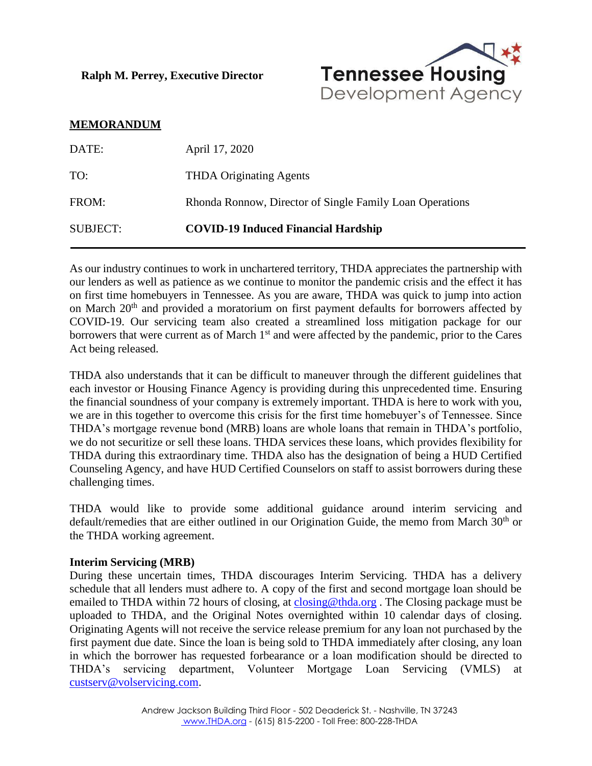**Ralph M. Perrey, Executive Director**



## **MEMORANDUM**

| DATE:           | April 17, 2020                                           |
|-----------------|----------------------------------------------------------|
| TO:             | <b>THDA Originating Agents</b>                           |
| FROM:           | Rhonda Ronnow, Director of Single Family Loan Operations |
| <b>SUBJECT:</b> | <b>COVID-19 Induced Financial Hardship</b>               |

As our industry continues to work in unchartered territory, THDA appreciates the partnership with our lenders as well as patience as we continue to monitor the pandemic crisis and the effect it has on first time homebuyers in Tennessee. As you are aware, THDA was quick to jump into action on March 20<sup>th</sup> and provided a moratorium on first payment defaults for borrowers affected by COVID-19. Our servicing team also created a streamlined loss mitigation package for our borrowers that were current as of March  $1<sup>st</sup>$  and were affected by the pandemic, prior to the Cares Act being released.

THDA also understands that it can be difficult to maneuver through the different guidelines that each investor or Housing Finance Agency is providing during this unprecedented time. Ensuring the financial soundness of your company is extremely important. THDA is here to work with you, we are in this together to overcome this crisis for the first time homebuyer's of Tennessee. Since THDA's mortgage revenue bond (MRB) loans are whole loans that remain in THDA's portfolio, we do not securitize or sell these loans. THDA services these loans, which provides flexibility for THDA during this extraordinary time. THDA also has the designation of being a HUD Certified Counseling Agency, and have HUD Certified Counselors on staff to assist borrowers during these challenging times.

THDA would like to provide some additional guidance around interim servicing and default/remedies that are either outlined in our Origination Guide, the memo from March 30<sup>th</sup> or the THDA working agreement.

## **Interim Servicing (MRB)**

During these uncertain times, THDA discourages Interim Servicing. THDA has a delivery schedule that all lenders must adhere to. A copy of the first and second mortgage loan should be emailed to THDA within 72 hours of closing, at [closing@thda.org](mailto:closing@thda.org). The Closing package must be uploaded to THDA, and the Original Notes overnighted within 10 calendar days of closing. Originating Agents will not receive the service release premium for any loan not purchased by the first payment due date. Since the loan is being sold to THDA immediately after closing, any loan in which the borrower has requested forbearance or a loan modification should be directed to THDA's servicing department, Volunteer Mortgage Loan Servicing (VMLS) at [custserv@volservicing.com.](mailto:custserv@volservicing.com)